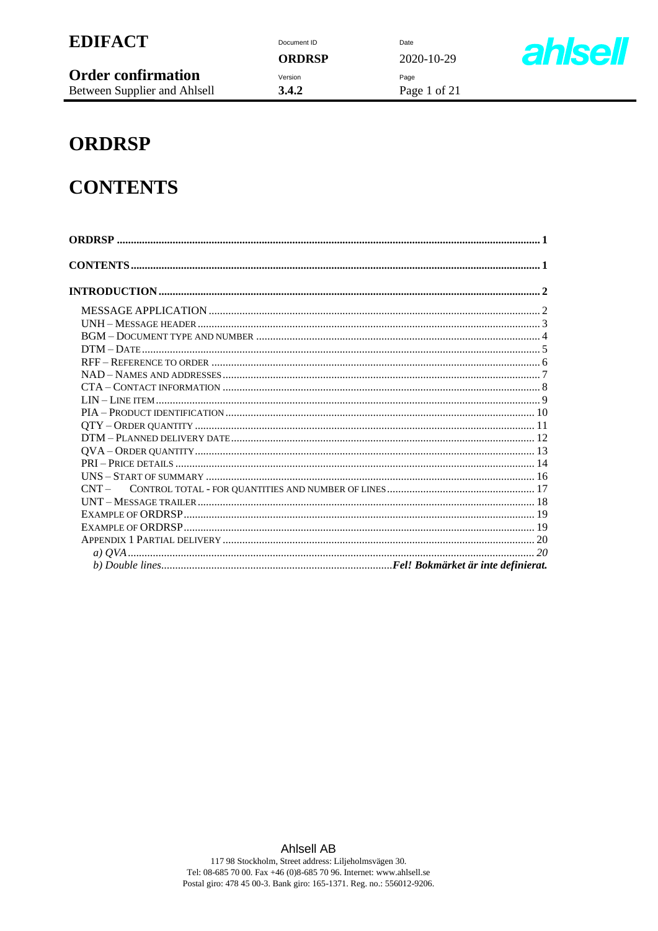**Order confirmation** 

Between Supplier and Ahlsell

Document ID **ORDRSP** Version

 $3.4.2$ 

Date 2020-10-29 Page Page 1 of 21



# **ORDRSP**

# **CONTENTS**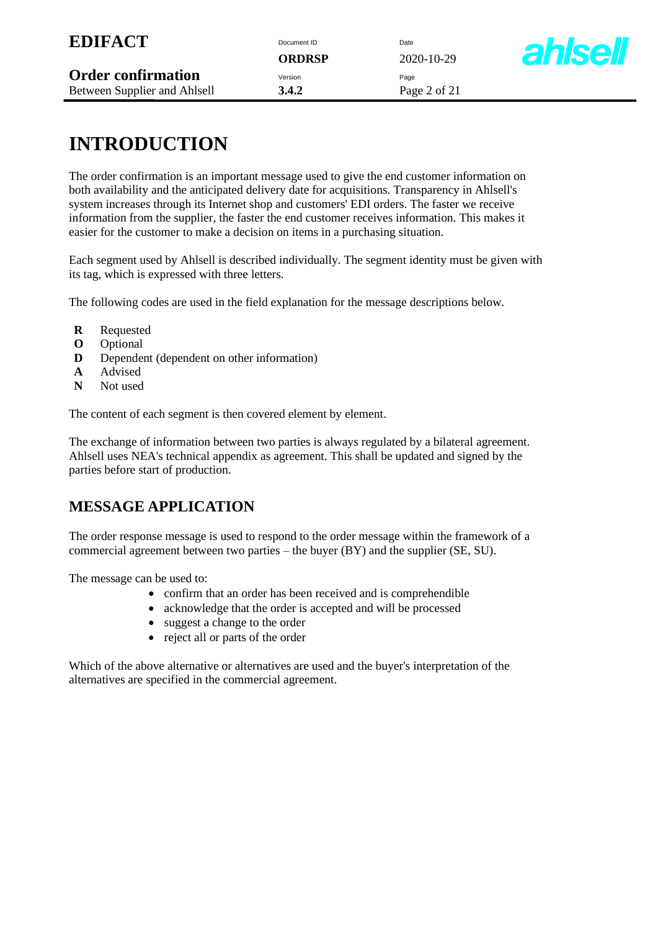**ORDRSP** 2020-10-29



# **INTRODUCTION**

The order confirmation is an important message used to give the end customer information on both availability and the anticipated delivery date for acquisitions. Transparency in Ahlsell's system increases through its Internet shop and customers' EDI orders. The faster we receive information from the supplier, the faster the end customer receives information. This makes it easier for the customer to make a decision on items in a purchasing situation.

Each segment used by Ahlsell is described individually. The segment identity must be given with its tag, which is expressed with three letters.

The following codes are used in the field explanation for the message descriptions below.

- **R** Requested
- **O** Optional
- **D** Dependent (dependent on other information)
- **A** Advised
- **N** Not used

The content of each segment is then covered element by element.

The exchange of information between two parties is always regulated by a bilateral agreement. Ahlsell uses NEA's technical appendix as agreement. This shall be updated and signed by the parties before start of production.

### **MESSAGE APPLICATION**

The order response message is used to respond to the order message within the framework of a commercial agreement between two parties – the buyer (BY) and the supplier (SE, SU).

The message can be used to:

- confirm that an order has been received and is comprehendible
- acknowledge that the order is accepted and will be processed
- suggest a change to the order
- reject all or parts of the order

Which of the above alternative or alternatives are used and the buyer's interpretation of the alternatives are specified in the commercial agreement.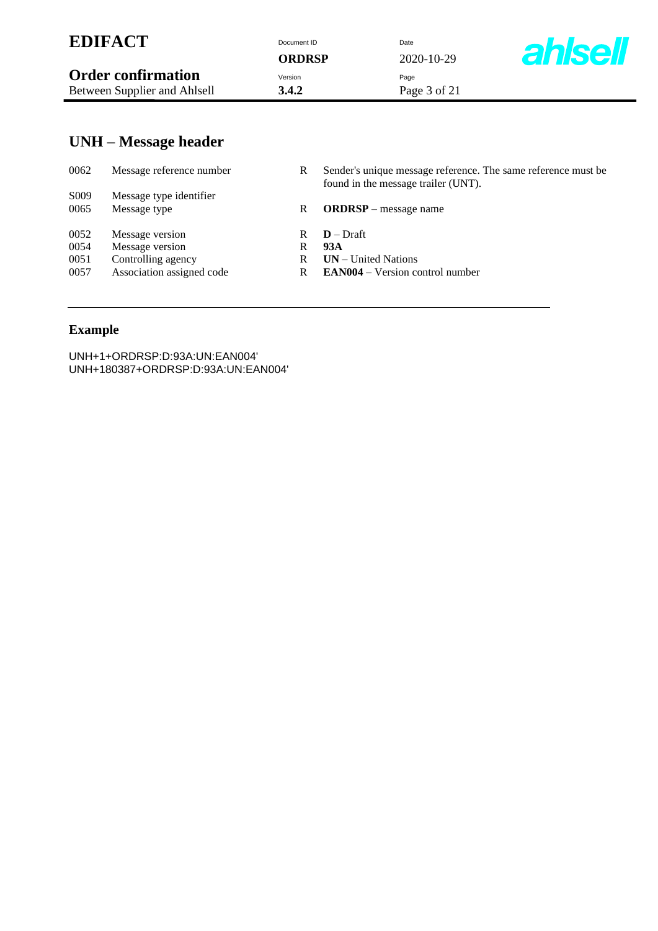| <b>EDIFACT</b>               | Document ID<br>ORDRSP | Date<br>2020-10-29 | <b>ahlsel</b> |
|------------------------------|-----------------------|--------------------|---------------|
| <b>Order confirmation</b>    | Version               | Page               |               |
| Between Supplier and Ahlsell | 3.4.2                 | Page 3 of 21       |               |

## **UNH – Message header**

| 0062              | Message reference number  | R | Sender's unique message reference. The same reference must be<br>found in the message trailer (UNT). |
|-------------------|---------------------------|---|------------------------------------------------------------------------------------------------------|
| S <sub>0</sub> 09 | Message type identifier   |   |                                                                                                      |
| 0065              | Message type              | R | $ORDRSP - message name$                                                                              |
| 0052              | Message version           | R | $D$ – Draft                                                                                          |
| 0054              | Message version           | R | 93A                                                                                                  |
| 0051              | Controlling agency        | R | $UN - United Nations$                                                                                |
| 0057              | Association assigned code | R | <b>EAN004</b> – Version control number                                                               |
|                   |                           |   |                                                                                                      |

# **Example**

UNH+1+ORDRSP:D:93A:UN:EAN004' UNH+180387+ORDRSP:D:93A:UN:EAN004'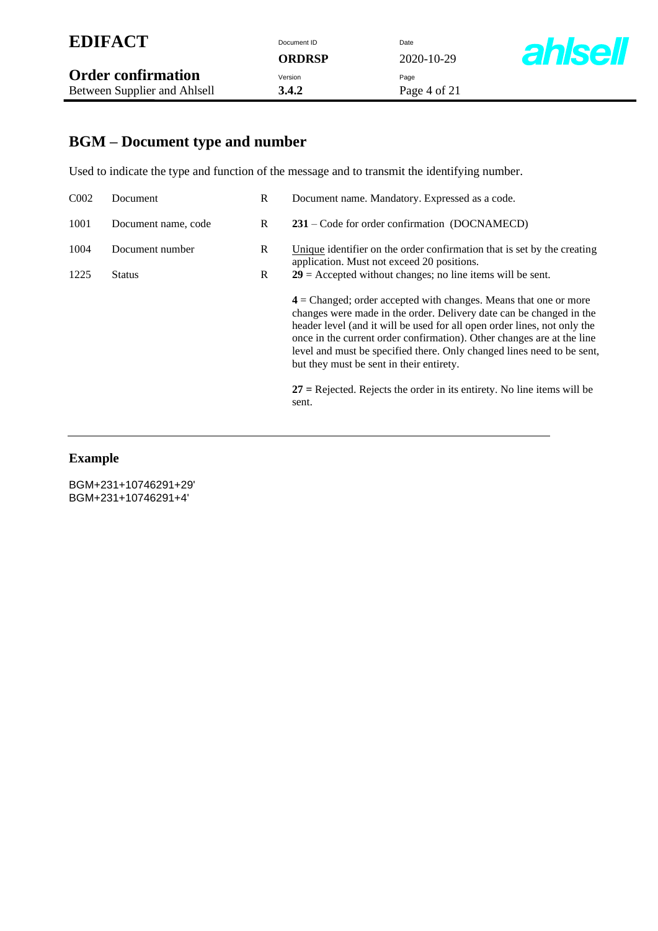| <b>Order confirmation</b><br>Version<br>Page<br>3.4.2<br>Between Supplier and Ahlsell<br>Page 4 of 21 | <b>EDIFACT</b> | Document ID<br>ORDRSP | Date<br>2020-10-29 | <b>ahlsell</b> |
|-------------------------------------------------------------------------------------------------------|----------------|-----------------------|--------------------|----------------|
|                                                                                                       |                |                       |                    |                |

### **BGM – Document type and number**

Used to indicate the type and function of the message and to transmit the identifying number.

| C <sub>002</sub> | Document            | R            | Document name. Mandatory. Expressed as a code.                                                                                                                                                                                                                                                                                                                                                                        |
|------------------|---------------------|--------------|-----------------------------------------------------------------------------------------------------------------------------------------------------------------------------------------------------------------------------------------------------------------------------------------------------------------------------------------------------------------------------------------------------------------------|
| 1001             | Document name, code | R            | 231 – Code for order confirmation (DOCNAMECD)                                                                                                                                                                                                                                                                                                                                                                         |
| 1004             | Document number     | $\mathbf{R}$ | Unique identifier on the order confirmation that is set by the creating<br>application. Must not exceed 20 positions.                                                                                                                                                                                                                                                                                                 |
| 1225             | <b>Status</b>       | R            | $29$ = Accepted without changes; no line items will be sent.                                                                                                                                                                                                                                                                                                                                                          |
|                  |                     |              | $4$ = Changed; order accepted with changes. Means that one or more<br>changes were made in the order. Delivery date can be changed in the<br>header level (and it will be used for all open order lines, not only the<br>once in the current order confirmation). Other changes are at the line<br>level and must be specified there. Only changed lines need to be sent,<br>but they must be sent in their entirety. |
|                  |                     |              | $27$ = Rejected. Rejects the order in its entirety. No line items will be<br>sent.                                                                                                                                                                                                                                                                                                                                    |

#### **Example**

BGM+231+10746291+29' BGM+231+10746291+4'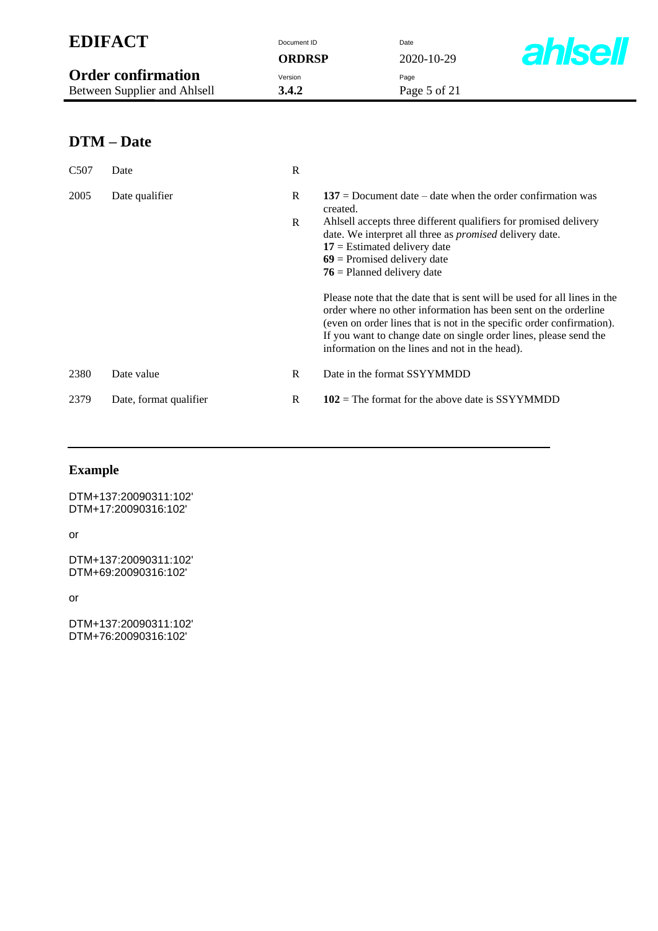|                  | <b>EDIFACT</b><br><b>Order confirmation</b> | Document ID<br><b>ORDRSP</b> | Date<br><b>ahlsell</b><br>2020-10-29                                                                                                                                                                                                                                                                                                                                                                                                                                                                                                                                                                                                                             |
|------------------|---------------------------------------------|------------------------------|------------------------------------------------------------------------------------------------------------------------------------------------------------------------------------------------------------------------------------------------------------------------------------------------------------------------------------------------------------------------------------------------------------------------------------------------------------------------------------------------------------------------------------------------------------------------------------------------------------------------------------------------------------------|
|                  | Between Supplier and Ahlsell                | Version<br>3.4.2             | Page<br>Page 5 of 21                                                                                                                                                                                                                                                                                                                                                                                                                                                                                                                                                                                                                                             |
|                  |                                             |                              |                                                                                                                                                                                                                                                                                                                                                                                                                                                                                                                                                                                                                                                                  |
|                  | <b>DTM</b> – Date                           |                              |                                                                                                                                                                                                                                                                                                                                                                                                                                                                                                                                                                                                                                                                  |
| C <sub>507</sub> | Date                                        | $\mathbb{R}$                 |                                                                                                                                                                                                                                                                                                                                                                                                                                                                                                                                                                                                                                                                  |
| 2005             | Date qualifier                              | $\mathbb{R}$<br>R            | $137$ = Document date – date when the order confirmation was<br>created.<br>Ahlsell accepts three different qualifiers for promised delivery<br>date. We interpret all three as <i>promised</i> delivery date.<br>$17$ = Estimated delivery date<br>$69$ = Promised delivery date<br>$76$ = Planned delivery date<br>Please note that the date that is sent will be used for all lines in the<br>order where no other information has been sent on the orderline<br>(even on order lines that is not in the specific order confirmation).<br>If you want to change date on single order lines, please send the<br>information on the lines and not in the head). |
| 2380             | Date value                                  | R                            | Date in the format SSYYMMDD                                                                                                                                                                                                                                                                                                                                                                                                                                                                                                                                                                                                                                      |
| 2379             | Date, format qualifier                      | R                            | $102$ = The format for the above date is SSYYMMDD                                                                                                                                                                                                                                                                                                                                                                                                                                                                                                                                                                                                                |

DTM+137:20090311:102' DTM+17:20090316:102'

or

DTM+137:20090311:102' DTM+69:20090316:102'

or

DTM+137:20090311:102' DTM+76:20090316:102'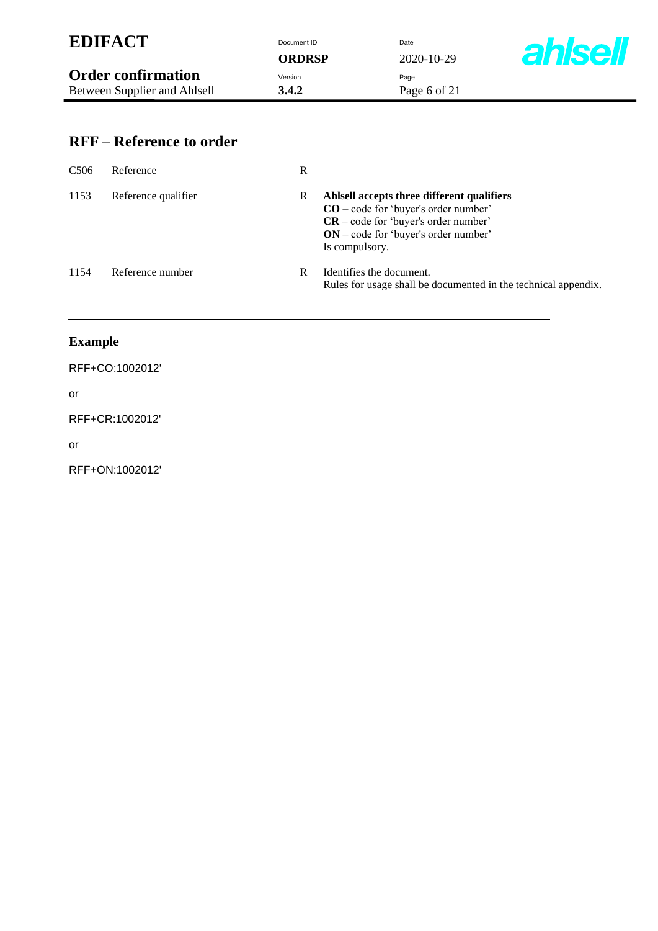| <b>ORDRSP</b>                                                                 | <b>ahlsell</b><br>2020-10-29 |
|-------------------------------------------------------------------------------|------------------------------|
| <b>Order confirmation</b><br>Version<br>3.4.2<br>Between Supplier and Ahlsell | Page<br>Page 6 of 21         |

| C <sub>506</sub> | Reference           | R |                                                                                                                                                                                            |
|------------------|---------------------|---|--------------------------------------------------------------------------------------------------------------------------------------------------------------------------------------------|
| 1153             | Reference qualifier | R | Ahlsell accepts three different qualifiers<br>$CO$ – code for 'buyer's order number'<br>$CR$ – code for 'buyer's order number'<br>$ON$ – code for 'buyer's order number'<br>Is compulsory. |
| 1154             | Reference number    | R | Identifies the document.<br>Rules for usage shall be documented in the technical appendix.                                                                                                 |

RFF+CO:1002012'

or

RFF+CR:1002012'

or

RFF+ON:1002012'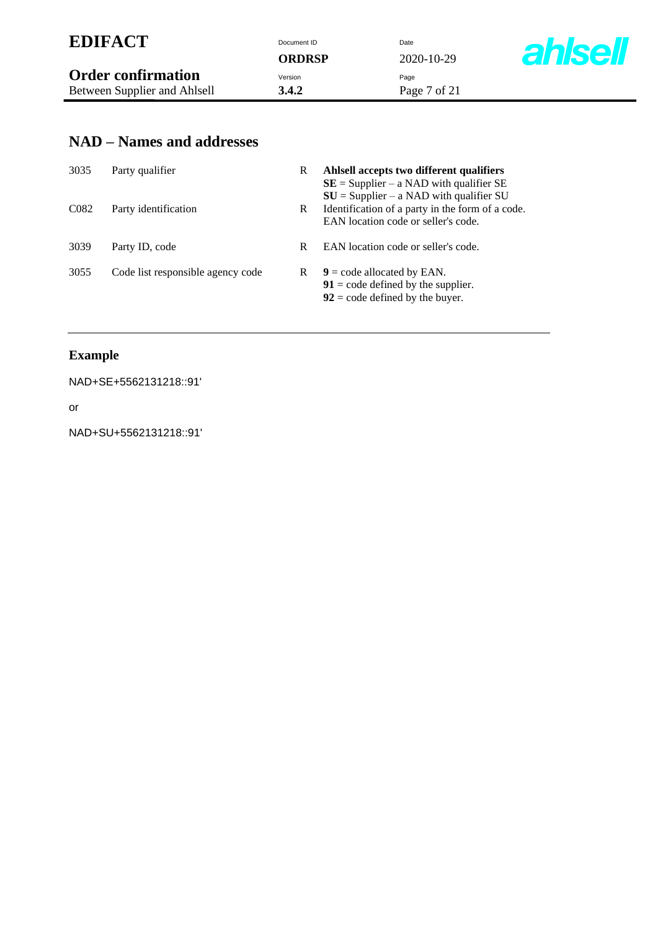| <b>EDIFACT</b>               | Document ID | Date         |              |
|------------------------------|-------------|--------------|--------------|
|                              | ORDRSP      | 2020-10-29   | <b>ahlse</b> |
| <b>Order confirmation</b>    | Version     | Page         |              |
| Between Supplier and Ahlsell | 3.4.2       | Page 7 of 21 |              |

7

### **NAD – Names and addresses**

| 3035             | Party qualifier                   | R  | Ahlsell accepts two different qualifiers<br>$SE =$ Supplier – a NAD with qualifier SE<br>$SU =$ Supplier – a NAD with qualifier SU |
|------------------|-----------------------------------|----|------------------------------------------------------------------------------------------------------------------------------------|
| C <sub>082</sub> | Party identification              | R  | Identification of a party in the form of a code.<br>EAN location code or seller's code.                                            |
| 3039             | Party ID, code                    | R  | EAN location code or seller's code.                                                                                                |
| 3055             | Code list responsible agency code | R. | $9 = \text{code allocated by EAN}.$<br>$91 = \text{code defined by the supplier.}$<br>$92$ = code defined by the buyer.            |

### **Example**

NAD+SE+5562131218::91'

or

NAD+SU+5562131218::91'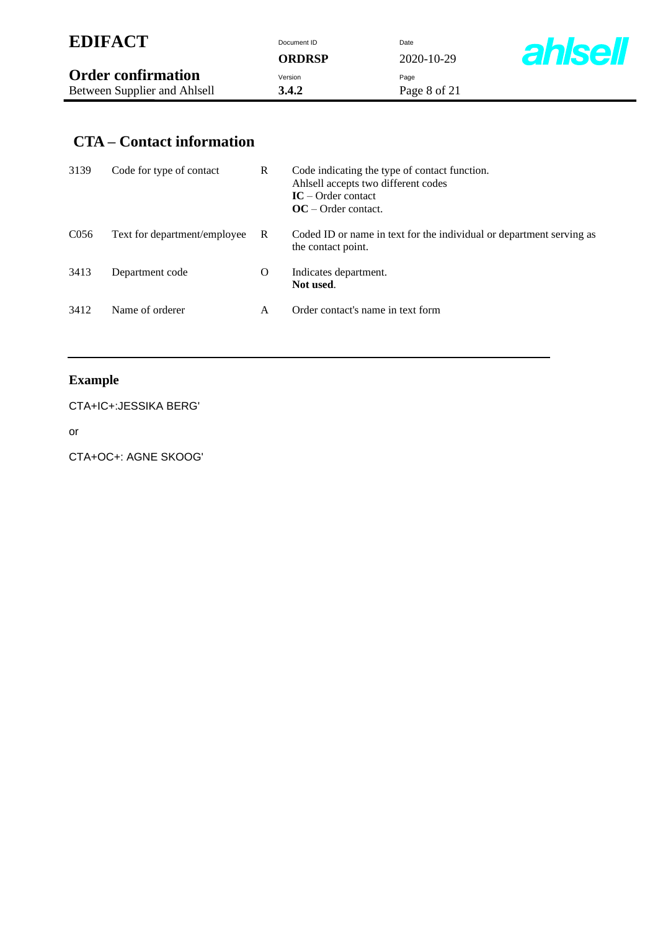| <b>EDIFACT</b>               | Document ID | Date         |                |
|------------------------------|-------------|--------------|----------------|
|                              | ORDRSP      | 2020-10-29   | <b>ahlsell</b> |
| <b>Order confirmation</b>    | Version     | Page         |                |
| Between Supplier and Ahlsell | 3.4.2       | Page 8 of 21 |                |

### **CTA – Contact information**

| 3139             | Code for type of contact     | R | Code indicating the type of contact function.<br>Ahlsell accepts two different codes<br>$IC$ – Order contact<br>$OC - Order contact.$ |
|------------------|------------------------------|---|---------------------------------------------------------------------------------------------------------------------------------------|
| C <sub>056</sub> | Text for department/employee | R | Coded ID or name in text for the individual or department serving as<br>the contact point.                                            |
| 3413             | Department code              | O | Indicates department.<br>Not used.                                                                                                    |
| 3412             | Name of orderer              | А | Order contact's name in text form                                                                                                     |

### **Example**

CTA+IC+:JESSIKA BERG'

or

CTA+OC+: AGNE SKOOG'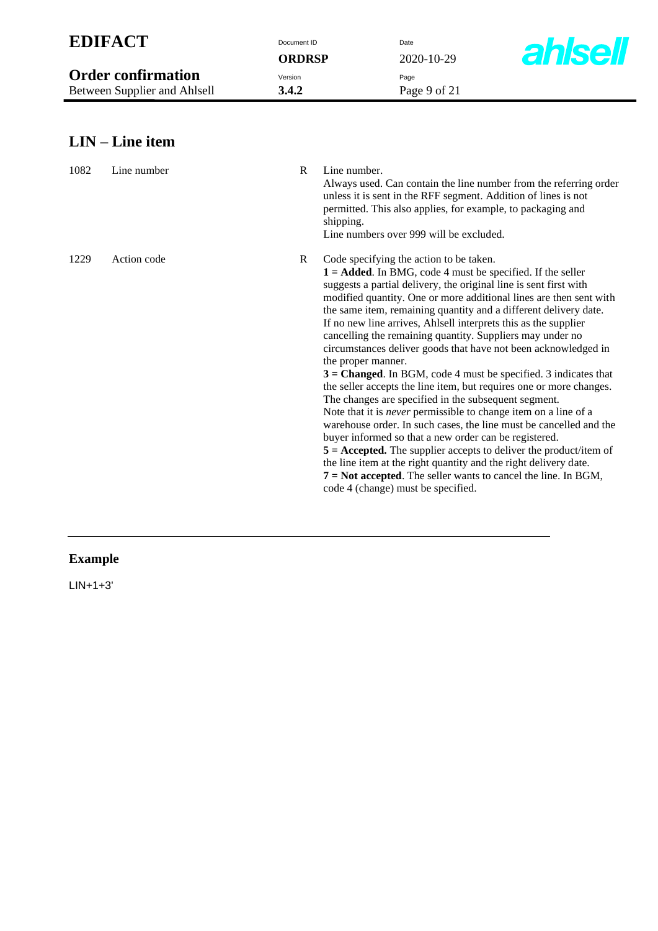| <b>EDIFACT</b><br>Document ID<br><b>ORDRSP</b>            |                                           | Date<br>2020-10-29                                                                                                                                                                                                                                                                                                                                                                                                                                                                                                                                                                                                                                                                                                                                                                                                                                                                                                                                                                                                                                                                                                                                                                                                | <b>ahlsell</b> |
|-----------------------------------------------------------|-------------------------------------------|-------------------------------------------------------------------------------------------------------------------------------------------------------------------------------------------------------------------------------------------------------------------------------------------------------------------------------------------------------------------------------------------------------------------------------------------------------------------------------------------------------------------------------------------------------------------------------------------------------------------------------------------------------------------------------------------------------------------------------------------------------------------------------------------------------------------------------------------------------------------------------------------------------------------------------------------------------------------------------------------------------------------------------------------------------------------------------------------------------------------------------------------------------------------------------------------------------------------|----------------|
| <b>Order confirmation</b><br>Between Supplier and Ahlsell | Version<br>3.4.2                          | Page<br>Page 9 of 21                                                                                                                                                                                                                                                                                                                                                                                                                                                                                                                                                                                                                                                                                                                                                                                                                                                                                                                                                                                                                                                                                                                                                                                              |                |
|                                                           |                                           |                                                                                                                                                                                                                                                                                                                                                                                                                                                                                                                                                                                                                                                                                                                                                                                                                                                                                                                                                                                                                                                                                                                                                                                                                   |                |
| $LIN-Line$ item                                           |                                           |                                                                                                                                                                                                                                                                                                                                                                                                                                                                                                                                                                                                                                                                                                                                                                                                                                                                                                                                                                                                                                                                                                                                                                                                                   |                |
| 1082<br>Line number                                       | $\mathsf{R}$<br>Line number.<br>shipping. | Always used. Can contain the line number from the referring order<br>unless it is sent in the RFF segment. Addition of lines is not<br>permitted. This also applies, for example, to packaging and<br>Line numbers over 999 will be excluded.                                                                                                                                                                                                                                                                                                                                                                                                                                                                                                                                                                                                                                                                                                                                                                                                                                                                                                                                                                     |                |
| 1229<br>Action code                                       | $\mathbf R$                               | Code specifying the action to be taken.<br>$1 =$ Added. In BMG, code 4 must be specified. If the seller<br>suggests a partial delivery, the original line is sent first with<br>modified quantity. One or more additional lines are then sent with<br>the same item, remaining quantity and a different delivery date.<br>If no new line arrives, Ahlsell interprets this as the supplier<br>cancelling the remaining quantity. Suppliers may under no<br>circumstances deliver goods that have not been acknowledged in<br>the proper manner.<br>$3$ = Changed. In BGM, code 4 must be specified. 3 indicates that<br>the seller accepts the line item, but requires one or more changes.<br>The changes are specified in the subsequent segment.<br>Note that it is <i>never</i> permissible to change item on a line of a<br>warehouse order. In such cases, the line must be cancelled and the<br>buyer informed so that a new order can be registered.<br>$5 =$ Accepted. The supplier accepts to deliver the product/item of<br>the line item at the right quantity and the right delivery date.<br>$7 = Not accepted$ . The seller wants to cancel the line. In BGM,<br>code 4 (change) must be specified. |                |

LIN+1+3'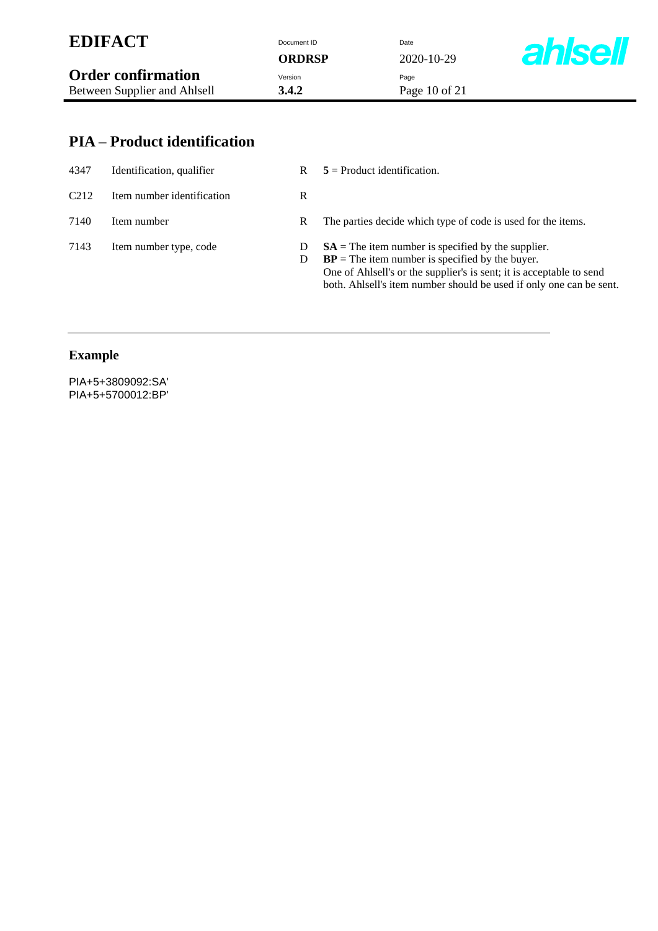| <b>EDIFACT</b> |
|----------------|
|----------------|

| <b>EDIFACT</b>               | Document ID   | Date          |                |
|------------------------------|---------------|---------------|----------------|
|                              | <b>ORDRSP</b> | 2020-10-29    | <b>ahlsell</b> |
| <b>Order confirmation</b>    | Version       | Page          |                |
| Between Supplier and Ahlsell | 3.4.2         | Page 10 of 21 |                |

### **PIA – Product identification**

| 4347 | Identification, qualifier  | R |
|------|----------------------------|---|
| C212 | Item number identification | R |
| 7140 | Item number                | R |
| 7143 | Item number type, code     | D |

 $5$  = Product identification.

The parties decide which type of code is used for the items.

**SA** = The item number is specified by the supplier.

**BP** = The item number is specified by the buyer. One of Ahlsell's or the supplier's is sent; it is acceptable to send both. Ahlsell's item number should be used if only one can be sent.

#### **Example**

PIA+5+3809092:SA' PIA+5+5700012:BP'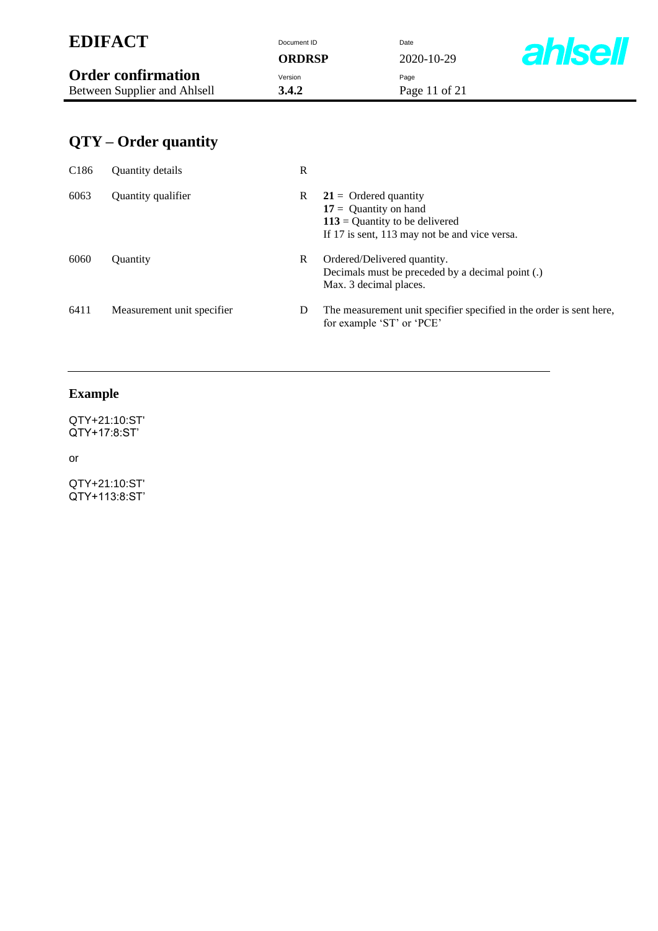|                                                           | <b>EDIFACT</b>              | Document ID<br><b>ORDRSP</b> | Date<br>2020-10-29                                                                                                                      | <b>ahlsell</b> |
|-----------------------------------------------------------|-----------------------------|------------------------------|-----------------------------------------------------------------------------------------------------------------------------------------|----------------|
| <b>Order confirmation</b><br>Between Supplier and Ahlsell |                             | Version<br>3.4.2             | Page<br>Page 11 of 21                                                                                                                   |                |
|                                                           | <b>QTY</b> – Order quantity |                              |                                                                                                                                         |                |
| C <sub>186</sub>                                          | Quantity details            | $\mathbb{R}$                 |                                                                                                                                         |                |
| 6063                                                      | Quantity qualifier          | R                            | $21 =$ Ordered quantity<br>$17 =$ Quantity on hand<br>$113$ = Quantity to be delivered<br>If 17 is sent, 113 may not be and vice versa. |                |
| 6060                                                      | Quantity                    | R                            | Ordered/Delivered quantity.<br>Decimals must be preceded by a decimal point (.)<br>Max. 3 decimal places.                               |                |
| 6411                                                      | Measurement unit specifier  | D                            | The measurement unit specifier specified in the order is sent here,<br>for example 'ST' or 'PCE'                                        |                |

QTY+21:10:ST' QTY+17:8:ST'

or

QTY+21:10:ST' QTY+113:8:ST'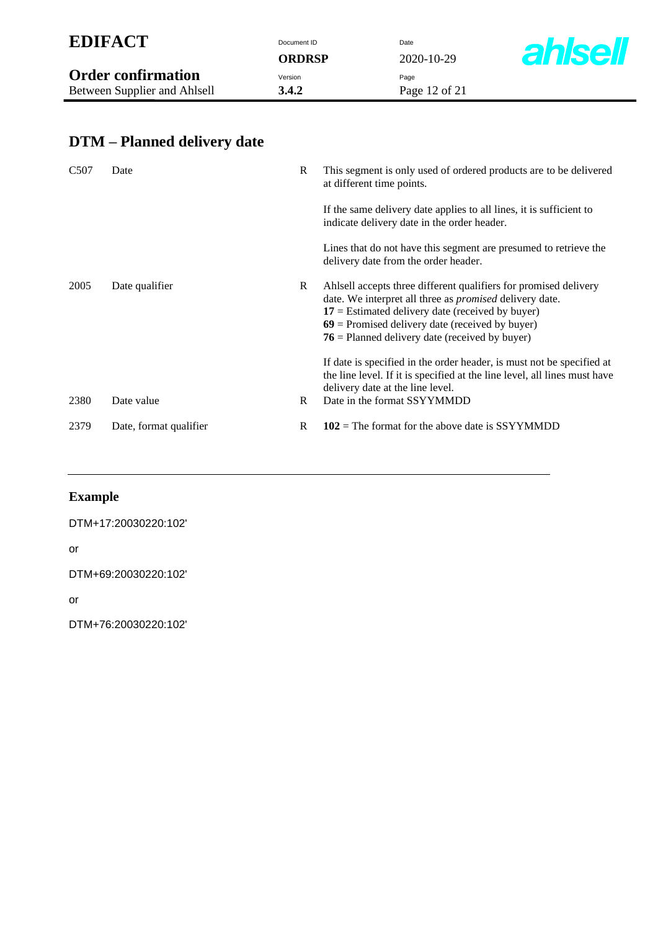| <b>EDIFACT</b>               | Document ID   | Date             |                |
|------------------------------|---------------|------------------|----------------|
|                              | <b>ORDRSP</b> | $2020 - 10 - 29$ | <b>ahlsell</b> |
| <b>Order confirmation</b>    | Version       | Page             |                |
| Between Supplier and Ahlsell | 3.4.2         | Page 12 of 21    |                |

#### C507 Date R This segment is only used of ordered products are to be delivered at different time points. If the same delivery date applies to all lines, it is sufficient to indicate delivery date in the order header. Lines that do not have this segment are presumed to retrieve the delivery date from the order header. 2005 Date qualifier R Ahlsell accepts three different qualifiers for promised delivery date. We interpret all three as *promised* delivery date.  $17$  = Estimated delivery date (received by buyer) **69** = Promised delivery date (received by buyer) **76** = Planned delivery date (received by buyer) If date is specified in the order header, is must not be specified at the line level. If it is specified at the line level, all lines must have delivery date at the line level. 2380 Date value R Date in the format SSYYMMDD 2379 Date, format qualifier  $R = 102$  = The format for the above date is SSYYMMDD

### **DTM – Planned delivery date**

#### **Example**

| DTM+17:20030220:102 |
|---------------------|
|---------------------|

#### or

DTM+69:20030220:102'

#### or

DTM+76:20030220:102'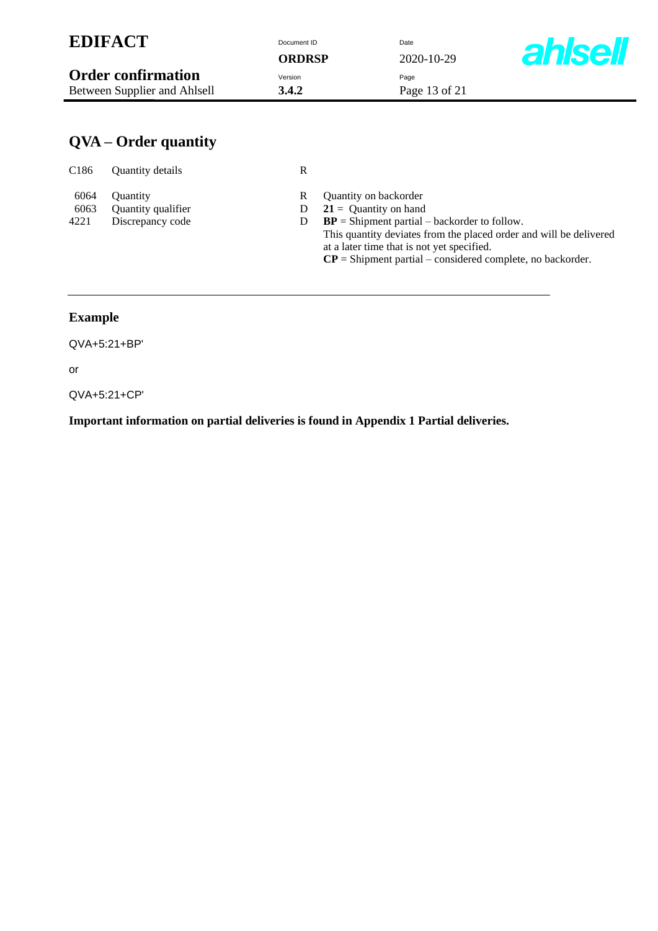| <b>EDIFACT</b>               | Document ID<br><b>ORDRSP</b> | Date<br>2020-10-29 | <b>ahlsell</b> |
|------------------------------|------------------------------|--------------------|----------------|
| <b>Order confirmation</b>    | Version                      | Page               |                |
| Between Supplier and Ahlsell | 3.4.2                        | Page 13 of 21      |                |

## **QVA – Order quantity**

| C <sub>186</sub> | Quantity details   | R |                                                                       |
|------------------|--------------------|---|-----------------------------------------------------------------------|
| 6064             | <b>Ouantity</b>    | R | Quantity on backorder                                                 |
| 6063             | Quantity qualifier |   | $21 =$ Quantity on hand                                               |
| 4221             | Discrepancy code   |   | $BP =$ Shipment partial – backorder to follow.                        |
|                  |                    |   | This quantity deviates from the placed order and will be delivered    |
|                  |                    |   | at a later time that is not yet specified.                            |
|                  |                    |   | $\mathbf{CP}$ = Shipment partial – considered complete, no backorder. |

#### **Example**

QVA+5:21+BP'

or

QVA+5:21+CP'

**Important information on partial deliveries is found in Appendix 1 Partial deliveries.**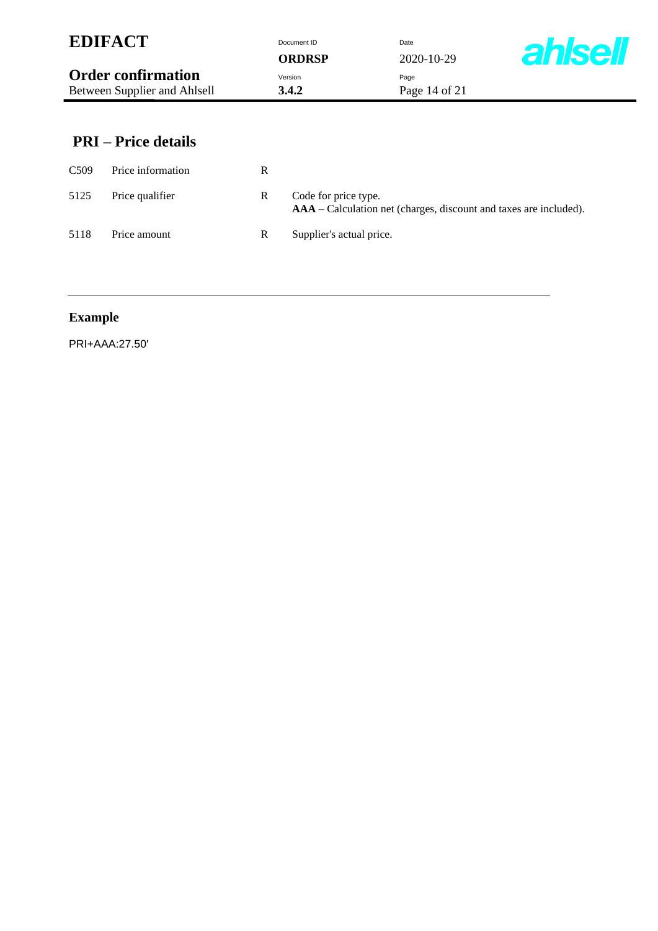| <b>EDIFACT</b>                                            | Document ID<br><b>ORDRSP</b> | Date<br>2020-10-29    | <b>ahlsell</b> |
|-----------------------------------------------------------|------------------------------|-----------------------|----------------|
| <b>Order confirmation</b><br>Between Supplier and Ahlsell | Version<br>3.4.2             | Page<br>Page 14 of 21 |                |
| <b>PRI</b> – Price details                                |                              |                       |                |
| Price information<br>C <sub>509</sub>                     | R                            |                       |                |

| 5125 | Price qualifier | Code for price type.<br><b>AAA</b> – Calculation net (charges, discount and taxes are included). |
|------|-----------------|--------------------------------------------------------------------------------------------------|
| 5118 | Price amount    | Supplier's actual price.                                                                         |

PRI+AAA:27.50'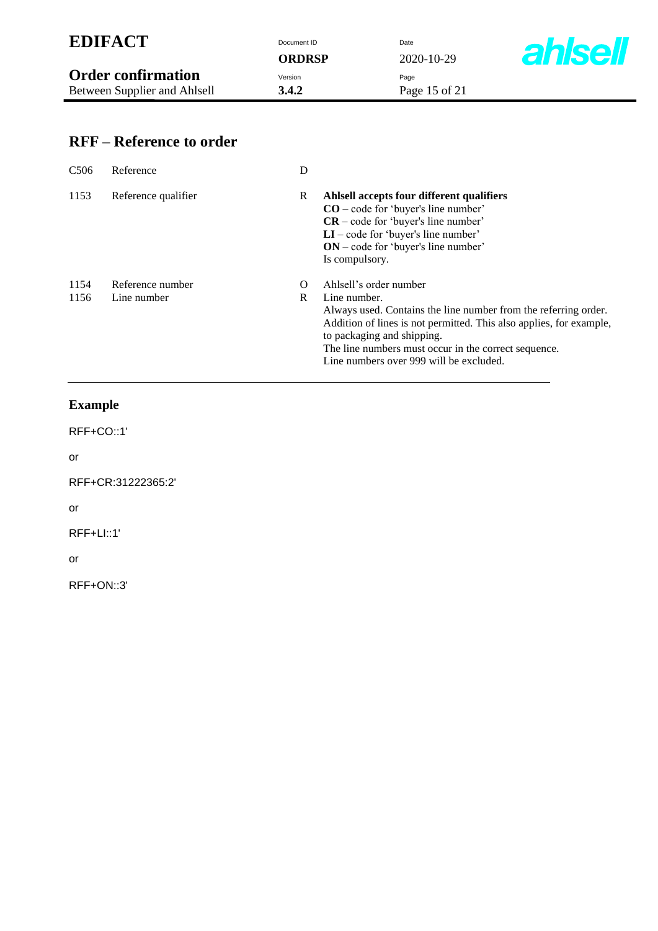| <b>EDIFACT</b>               | Document ID   | Date          |                |
|------------------------------|---------------|---------------|----------------|
|                              | <b>ORDRSP</b> | 2020-10-29    | <b>ahlsell</b> |
| <b>Order confirmation</b>    | Version       | Page          |                |
| Between Supplier and Ahlsell | 3.4.2         | Page 15 of 21 |                |
|                              |               |               |                |
|                              |               |               |                |

### **RFF – Reference to order**

| C <sub>506</sub> | Reference                       | D             |                                                                                                                                                                                                                                                                        |
|------------------|---------------------------------|---------------|------------------------------------------------------------------------------------------------------------------------------------------------------------------------------------------------------------------------------------------------------------------------|
| 1153             | Reference qualifier             | R             | Ahlsell accepts four different qualifiers<br>$CO$ – code for 'buyer's line number'<br>$CR$ – code for 'buyer's line number'<br>$LI$ – code for 'buyer's line number'<br>$ON - code for 'buyer's line number'$<br>Is compulsory.                                        |
| 1154<br>1156     | Reference number<br>Line number | $\Omega$<br>R | Ahlsell's order number<br>Line number.<br>Always used. Contains the line number from the referring order.<br>Addition of lines is not permitted. This also applies, for example,<br>to packaging and shipping.<br>The line numbers must occur in the correct sequence. |
|                  |                                 |               | Line numbers over 999 will be excluded.                                                                                                                                                                                                                                |

## **Example**

RFF+CO::1'

or

RFF+CR:31222365:2'

or

RFF+LI::1'

or

RFF+ON::3'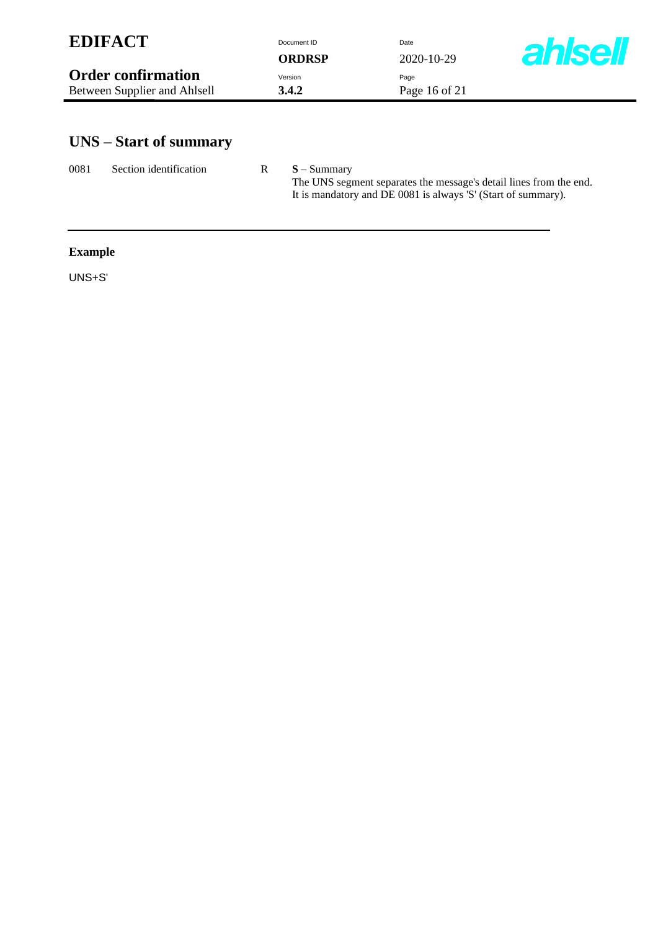| <b>EDIFACT</b>                 | Document ID        | Date          |                |
|--------------------------------|--------------------|---------------|----------------|
|                                | <b>ORDRSP</b>      | 2020-10-29    | <b>ahisell</b> |
| <b>Order confirmation</b>      | Version            | Page          |                |
| Between Supplier and Ahlsell   | 3.4.2              | Page 16 of 21 |                |
|                                |                    |               |                |
|                                |                    |               |                |
| UNS – Start of summary         |                    |               |                |
|                                |                    |               |                |
| Section identification<br>0081 | R<br>$S -$ Summary |               |                |

The UNS segment separates the message's detail lines from the end. It is mandatory and DE 0081 is always 'S' (Start of summary).

**Example**

UNS+S'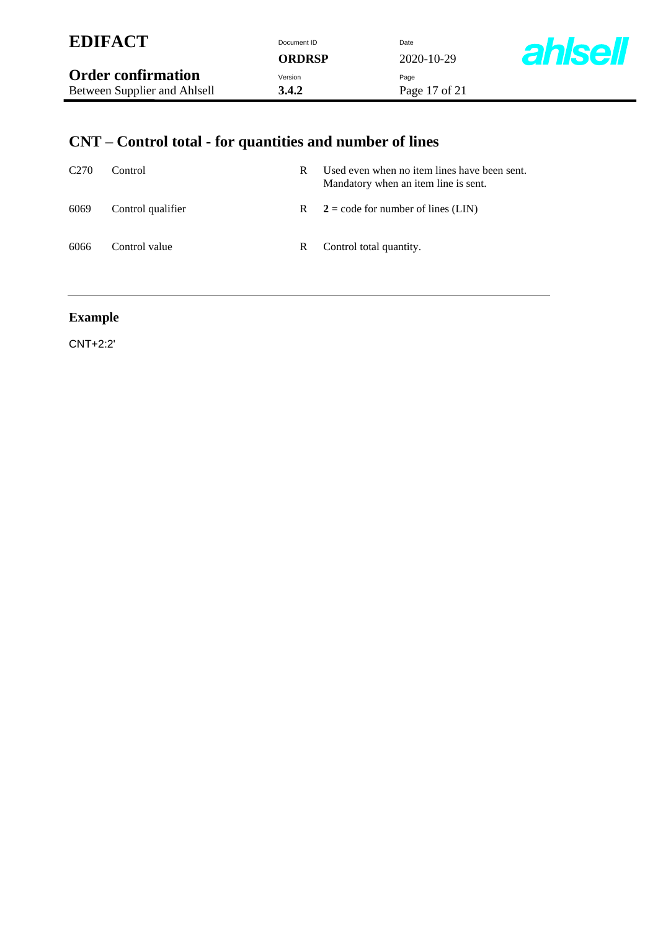| <b>EDIFACT</b>               | Document ID   | Date          |                |
|------------------------------|---------------|---------------|----------------|
|                              | <b>ORDRSP</b> | 2020-10-29    | <b>ahlsell</b> |
| <b>Order confirmation</b>    | Version       | Page          |                |
| Between Supplier and Ahlsell | 3.4.2         | Page 17 of 21 |                |

# **CNT – Control total - for quantities and number of lines**

| C <sub>270</sub> | Control           | R | Used even when no item lines have been sent.<br>Mandatory when an item line is sent. |
|------------------|-------------------|---|--------------------------------------------------------------------------------------|
| 6069             | Control qualifier |   | R $2 = \text{code for number of lines (LIN)}$                                        |
| 6066             | Control value     | R | Control total quantity.                                                              |

### **Example**

CNT+2:2'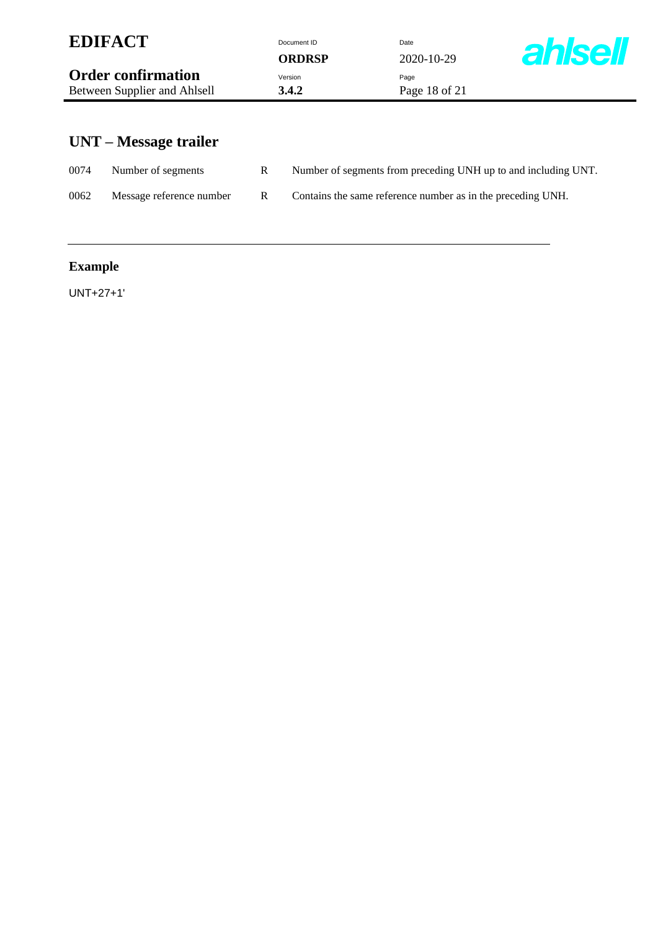|      | <b>EDIFACT</b>                                            |   | Document ID<br><b>ORDRSP</b> | Date<br>2020-10-29                                             | <b>ahlsell</b> |
|------|-----------------------------------------------------------|---|------------------------------|----------------------------------------------------------------|----------------|
|      | <b>Order confirmation</b><br>Between Supplier and Ahlsell |   | Version<br>3.4.2             | Page<br>Page 18 of 21                                          |                |
|      |                                                           |   |                              |                                                                |                |
|      | UNT – Message trailer                                     |   |                              |                                                                |                |
| 0074 | Number of segments                                        | R |                              | Number of segments from preceding UNH up to and including UNT. |                |

|      | $0077$ refluence of segments | $\mathbf{1}$ | $\frac{1}{2}$ runned of segments from preceding $\frac{1}{2}$ of the up to and meading $\frac{1}{2}$ |
|------|------------------------------|--------------|------------------------------------------------------------------------------------------------------|
| 0062 | Message reference number     |              | Contains the same reference number as in the preceding UNH.                                          |

UNT+27+1'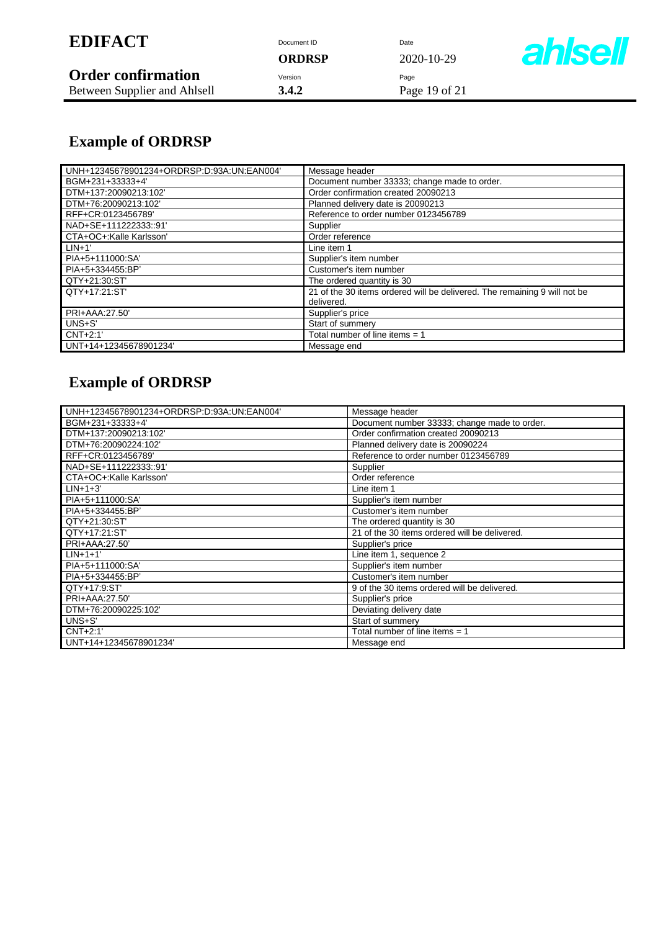| <b>EDIFACT</b>               | Document ID<br>ORDRSP | Date<br>2020-10-29 | <b>ahlsell</b> |
|------------------------------|-----------------------|--------------------|----------------|
| <b>Order confirmation</b>    | Version               | Page               |                |
| Between Supplier and Ahlsell | 3.4.2                 | Page 19 of 21      |                |

# **Example of ORDRSP**

| UNH+12345678901234+ORDRSP:D:93A:UN:EAN004' | Message header                                                            |
|--------------------------------------------|---------------------------------------------------------------------------|
| BGM+231+33333+4'                           | Document number 33333; change made to order.                              |
| DTM+137:20090213:102'                      | Order confirmation created 20090213                                       |
| DTM+76:20090213:102'                       | Planned delivery date is 20090213                                         |
| RFF+CR:0123456789'                         | Reference to order number 0123456789                                      |
| NAD+SE+111222333::91'                      | Supplier                                                                  |
| CTA+OC+:Kalle Karlsson'                    | Order reference                                                           |
| $LIN+1'$                                   | Line item 1                                                               |
| PIA+5+111000:SA'                           | Supplier's item number                                                    |
| PIA+5+334455:BP'                           | Customer's item number                                                    |
| QTY+21:30:ST                               | The ordered quantity is 30                                                |
| QTY+17:21:ST                               | 21 of the 30 items ordered will be delivered. The remaining 9 will not be |
|                                            | delivered.                                                                |
| PRI+AAA:27.50'                             | Supplier's price                                                          |
| $UNS + S'$                                 | Start of summery                                                          |
| $CNT+2:1'$                                 | Total number of line items $= 1$                                          |
| UNT+14+12345678901234                      | Message end                                                               |

## **Example of ORDRSP**

| UNH+12345678901234+ORDRSP:D:93A:UN:EAN004' | Message header                                |
|--------------------------------------------|-----------------------------------------------|
| BGM+231+33333+4'                           | Document number 33333; change made to order.  |
| DTM+137:20090213:102'                      | Order confirmation created 20090213           |
| DTM+76:20090224:102'                       | Planned delivery date is 20090224             |
| RFF+CR:0123456789'                         | Reference to order number 0123456789          |
| NAD+SE+111222333::91'                      | Supplier                                      |
| CTA+OC+:Kalle Karlsson'                    | Order reference                               |
| $LIN+1+3'$                                 | Line item 1                                   |
| PIA+5+111000:SA'                           | Supplier's item number                        |
| PIA+5+334455:BP'                           | Customer's item number                        |
| QTY+21:30:ST                               | The ordered quantity is 30                    |
| QTY+17:21:ST                               | 21 of the 30 items ordered will be delivered. |
| PRI+AAA:27.50'                             | Supplier's price                              |
| $LIN+1+1'$                                 | Line item 1, sequence 2                       |
| PIA+5+111000:SA'                           | Supplier's item number                        |
| PIA+5+334455:BP'                           | Customer's item number                        |
| QTY+17:9:ST                                | 9 of the 30 items ordered will be delivered.  |
| PRI+AAA:27.50'                             | Supplier's price                              |
| DTM+76:20090225:102'                       | Deviating delivery date                       |
| $UNS + S'$                                 | Start of summery                              |
| $CNT+2:1'$                                 | Total number of line items $= 1$              |
| UNT+14+12345678901234'                     | Message end                                   |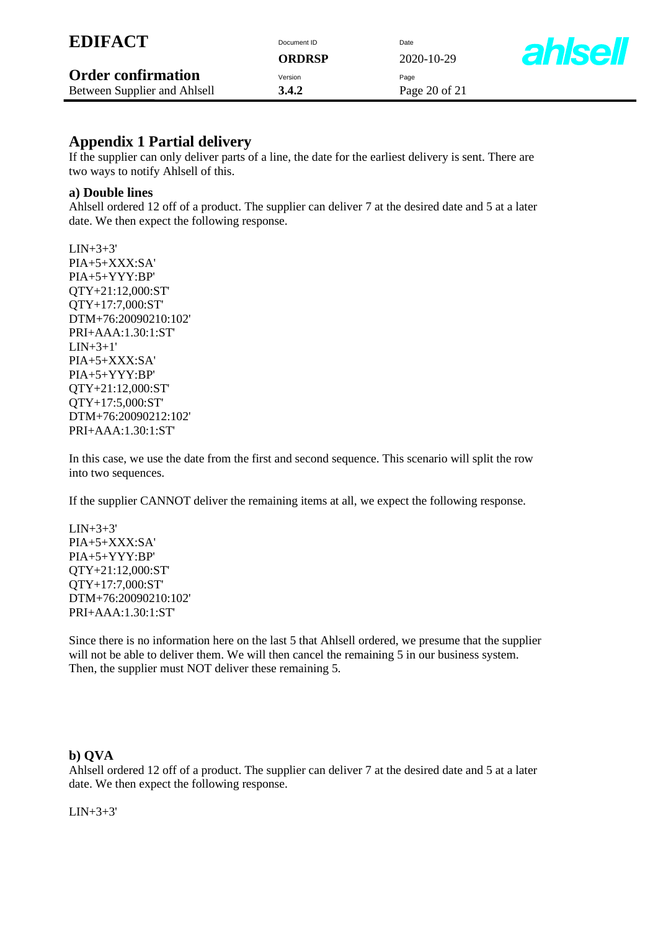| <b>EDIFACT</b>               | Document ID   | Date          |              |
|------------------------------|---------------|---------------|--------------|
|                              | <b>ORDRSP</b> | 2020-10-29    | <b>ahlse</b> |
| <b>Order confirmation</b>    | Version       | Page          |              |
| Between Supplier and Ahlsell | 3.4.2         | Page 20 of 21 |              |

#### **Appendix 1 Partial delivery**

If the supplier can only deliver parts of a line, the date for the earliest delivery is sent. There are two ways to notify Ahlsell of this.

#### **a) Double lines**

Ahlsell ordered 12 off of a product. The supplier can deliver 7 at the desired date and 5 at a later date. We then expect the following response.

 $LIN + 3 + 3'$ PIA+5+XXX:SA' PIA+5+YYY:BP' QTY+21:12,000:ST' QTY+17:7,000:ST' DTM+76:20090210:102' PRI+AAA:1.30:1:ST'  $LIN + 3 + 1'$ PIA+5+XXX:SA' PIA+5+YYY:BP' QTY+21:12,000:ST' QTY+17:5,000:ST' DTM+76:20090212:102' PRI+AAA:1.30:1:ST'

In this case, we use the date from the first and second sequence. This scenario will split the row into two sequences.

If the supplier CANNOT deliver the remaining items at all, we expect the following response.

 $LM+3+3'$ PIA+5+XXX:SA' PIA+5+YYY:BP' QTY+21:12,000:ST' QTY+17:7,000:ST' DTM+76:20090210:102' PRI+AAA:1.30:1:ST'

Since there is no information here on the last 5 that Ahlsell ordered, we presume that the supplier will not be able to deliver them. We will then cancel the remaining 5 in our business system. Then, the supplier must NOT deliver these remaining 5.

#### **b) QVA**

Ahlsell ordered 12 off of a product. The supplier can deliver 7 at the desired date and 5 at a later date. We then expect the following response.

LIN+3+3'